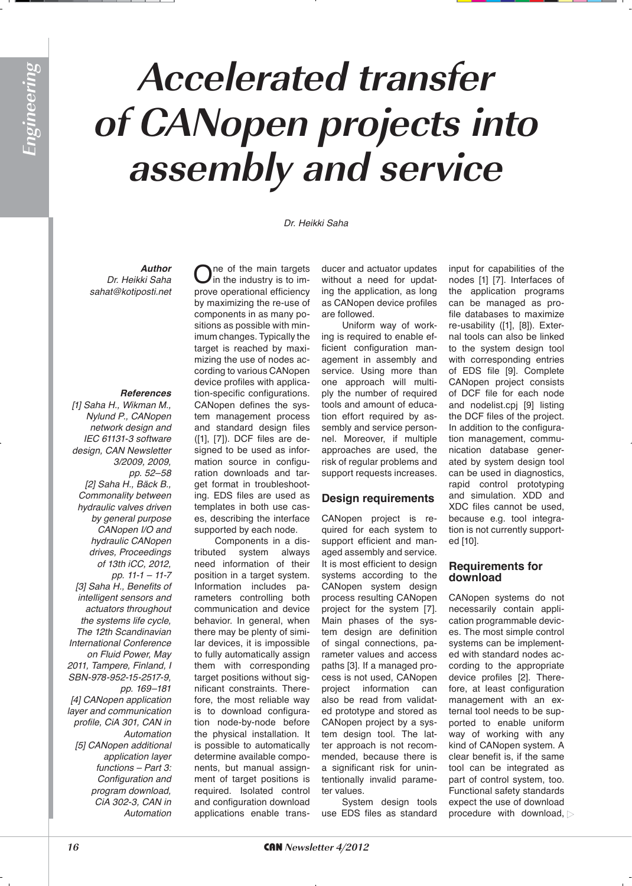# **Accelerated transfer of CANopen projects into assembly and service**

Dr. Heikki Saha

*Author* Dr. Heikki Saha *sahat@kotiposti.net*

### *References*

[1] Saha H., Wikman M., *Nylund P., CANopen network design and*  IEC 61131-3 software *design, CAN Newsletter*  3/2009, 2009, pp. 52-58 [2] Saha H., Bäck B., *Commonality between hydraulic valves driven by general purpose*  CANopen I/O and *hydraulic CANopen drives, Proceedings of 13th iCC, 2012,*  pp.  $11-1 - 11-7$ [3] Saha H., Benefits of *intelligent sensors and actuators throughout the systems life cycle,*  The 12th Scandinavian International Conference *on Fluid Power, May*  2011, Tampere, Finland, I SBN-978-952-15-2517-9, pp. 169-181 *[4] CANopen application layer and communication profile, CiA 301, CAN in Automation [5] CANopen additional application layer functions – Part 3: Configuration and program download, CiA 302-3, CAN in Automation*

 $\sum$ ne of the main targets<br>in the industry is to improve operational efficiency by maximizing the re-use of components in as many positions as possible with minimum changes. Typically the target is reached by maximizing the use of nodes according to various CANopen device profiles with application-specific configurations. CANopen defines the system management process and standard design files ([1], [7]). DCF files are designed to be used as information source in configuration downloads and target format in troubleshooting. EDS files are used as templates in both use cases, describing the interface supported by each node.

Components in a distributed system always need information of their position in a target system. Information includes parameters controlling both communication and device behavior. In general, when there may be plenty of similar devices, it is impossible to fully automatically assign them with corresponding target positions without significant constraints. Therefore, the most reliable way is to download configuration node-by-node before the physical installation. It is possible to automatically determine available components, but manual assignment of target positions is required. Isolated control and configuration download applications enable trans-

ducer and actuator updates without a need for updating the application, as long as CANopen device profiles are followed.

Uniform way of working is required to enable efficient configuration management in assembly and service. Using more than one approach will multiply the number of required tools and amount of education effort required by assembly and service personnel. Moreover, if multiple approaches are used, the risk of regular problems and support requests increases.

### **Design requirements**

CANopen project is required for each system to support efficient and managed assembly and service. It is most efficient to design systems according to the CANopen system design process resulting CANopen project for the system [7]. Main phases of the system design are definition of singal connections, parameter values and access paths [3]. If a managed process is not used, CANopen project information can also be read from validated prototype and stored as CANopen project by a system design tool. The latter approach is not recommended, because there is a significant risk for unintentionally invalid parameter values.

System design tools use EDS files as standard

input for capabilities of the nodes [1] [7]. Interfaces of the application programs can be managed as profile databases to maximize re-usability ([1], [8]). External tools can also be linked to the system design tool with corresponding entries of EDS file [9]. Complete CANopen project consists of DCF file for each node and nodelist.cpj [9] listing the DCF files of the project. In addition to the configuration management, communication database generated by system design tool can be used in diagnostics, rapid control prototyping and simulation. XDD and XDC files cannot be used, because e.g. tool integration is not currently supported [10].

# **Requirements for** download

CANopen systems do not necessarily contain application programmable devices. The most simple control systems can be implemented with standard nodes according to the appropriate device profiles [2]. Therefore, at least configuration management with an external tool needs to be supported to enable uniform way of working with any kind of CANopen system. A clear benefit is, if the same tool can be integrated as part of control system, too. Functional safety standards expect the use of download procedure with download,  $\triangleright$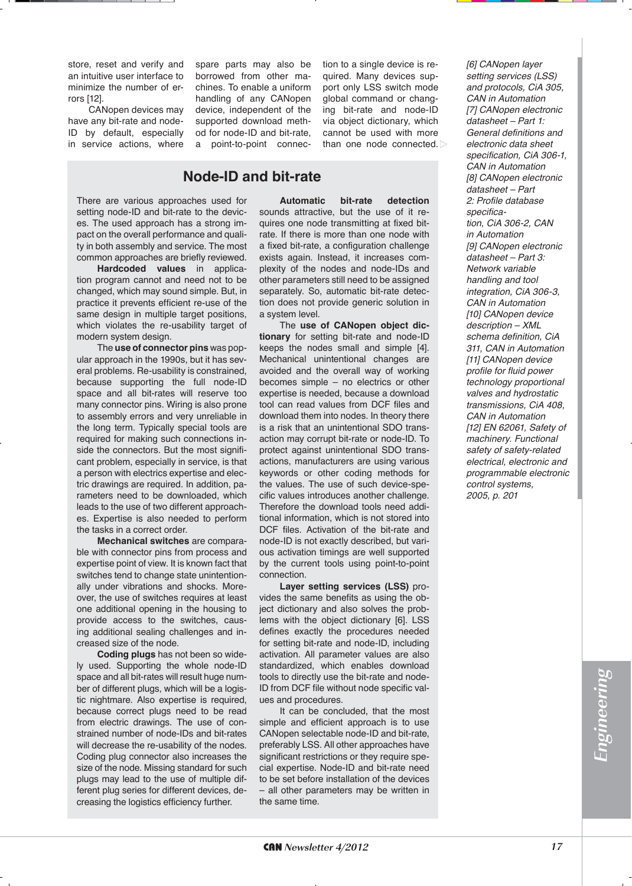store, reset and verify and an intuitive user interface to minimize the number of errors [12].

CANopen devices may have any bit-rate and node-ID by default, especially in service actions, where spare parts may also be borrowed from other machines. To enable a uniform handling of any CANopen device, independent of the supported download method for node-ID and bit-rate, a point-to-point connection to a single device is required. Many devices support only LSS switch mode global command or changing bit-rate and node-ID via object dictionary, which cannot be used with more than one node connected.

# **Node-ID and bit-rate**

There are various approaches used for setting node-ID and bit-rate to the devices. The used approach has a strong impact on the overall performance and quality in both assembly and service. The most common approaches are briefly reviewed.

**Hardcoded values** in application program cannot and need not to be changed, which may sound simple. But, in practice it prevents efficient re-use of the same design in multiple target positions, which violates the re-usability target of modern system design.

The **use of connector pins** was popular approach in the 1990s, but it has several problems. Re-usability is constrained, because supporting the full node-ID space and all bit-rates will reserve too many connector pins. Wiring is also prone to assembly errors and very unreliable in the long term. Typically special tools are required for making such connections inside the connectors. But the most significant problem, especially in service, is that a person with electrics expertise and electric drawings are required. In addition, parameters need to be downloaded, which leads to the use of two different approaches. Expertise is also needed to perform the tasks in a correct order.

**Mechanical switches are compara**ble with connector pins from process and expertise point of view. It is known fact that switches tend to change state unintentionally under vibrations and shocks. Moreover, the use of switches requires at least one additional opening in the housing to provide access to the switches, causing additional sealing challenges and increased size of the node.

**Coding plugs** has not been so widely used. Supporting the whole node-ID space and all bit-rates will result huge number of different plugs, which will be a logistic nightmare. Also expertise is required, because correct plugs need to be read from electric drawings. The use of constrained number of node-IDs and bit-rates will decrease the re-usability of the nodes. Coding plug connector also increases the size of the node. Missing standard for such plugs may lead to the use of multiple different plug series for different devices, decreasing the logistics efficiency further.

Automatic bit-rate detection sounds attractive, but the use of it requires one node transmitting at fixed bitrate. If there is more than one node with a fixed bit-rate, a configuration challenge exists again. Instead, it increases complexity of the nodes and node-IDs and other parameters still need to be assigned separately. So, automatic bit-rate detection does not provide generic solution in a system level.

The use of CANopen object dic**tionary** for setting bit-rate and node-ID keeps the nodes small and simple [4]. Mechanical unintentional changes are avoided and the overall way of working becomes simple – no electrics or other expertise is needed, because a download tool can read values from DCF files and download them into nodes. In theory there is a risk that an unintentional SDO transaction may corrupt bit-rate or node-ID. To protect against unintentional SDO transactions, manufacturers are using various keywords or other coding methods for the values. The use of such device-specific values introduces another challenge. Therefore the download tools need additional information, which is not stored into DCF files. Activation of the bit-rate and node-ID is not exactly described, but various activation timings are well supported by the current tools using point-to-point connection.

**Layer setting services (LSS) pro**vides the same benefits as using the object dictionary and also solves the problems with the object dictionary [6]. LSS defines exactly the procedures needed for setting bit-rate and node-ID, including activation. All parameter values are also standardized, which enables download tools to directly use the bit-rate and node-ID from DCF file without node specific values and procedures.

It can be concluded, that the most simple and efficient approach is to use CANopen selectable node-ID and bit-rate, preferably LSS. All other approaches have significant restrictions or they require special expertise. Node-ID and bit-rate need to be set before installation of the devices – all other parameters may be written in the same time.

*[6] CANopen layer*  setting services (LSS) *and protocols, CiA 305, CAN in Automation* [7] CANopen electronic *datasheet – Part 1: General definitions and electronic data sheet specification, CiA 306-1, CAN in Automation* [8] CANopen electronic *datasheet – Part 2: Profile database specification, CiA 306-2, CAN in Automation* [9] CANopen electronic *datasheet – Part 3: Network variable handling and tool integration, CiA 306-3, CAN in Automation [10] CANopen device description – XML schema definition, CiA 311, CAN in Automation [11] CANopen device profile for fluid power technology proportional valves and hydrostatic*  transmissions, CiA 408, *CAN in Automation* [12] EN 62061, Safety of *machinery. Functional safety of safety-related electrical, electronic and programmable electronic control systems, 2005, p. 201*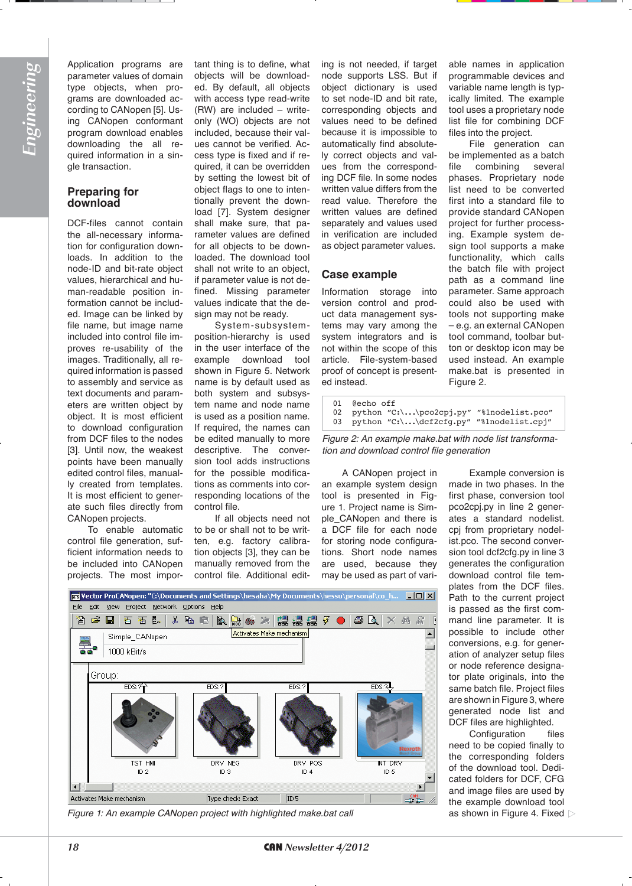Application programs are parameter values of domain type objects, when programs are downloaded according to CANopen [5]. Using CANopen conformant program download enables downloading the all required information in a single transaction.

# **Preparing for** download

DCF-files cannot contain the all-necessary information for configuration downloads. In addition to the node-ID and bit-rate object values, hierarchical and human-readable position information cannot be included. Image can be linked by file name, but image name included into control file improves re-usability of the images. Traditionally, all required information is passed to assembly and service as text documents and parameters are written object by object. It is most efficient to download configuration from DCF files to the nodes [3]. Until now, the weakest points have been manually edited control files, manually created from templates. It is most efficient to generate such files directly from CANopen projects.

To enable automatic control file generation, sufficient information needs to be included into CANopen projects. The most important thing is to define, what objects will be downloaded. By default, all objects with access type read-write (RW) are included – writeonly (WO) objects are not included, because their values cannot be verified. Access type is fixed and if required, it can be overridden by setting the lowest bit of object flags to one to intentionally prevent the download [7]. System designer shall make sure, that parameter values are defined for all objects to be downloaded. The download tool shall not write to an object, if parameter value is not defined. Missing parameter values indicate that the design may not be ready.

System-subsystemposition-hierarchy is used in the user interface of the example download tool shown in Figure 5. Network name is by default used as both system and subsystem name and node name is used as a position name. If required, the names can be edited manually to more descriptive. The conversion tool adds instructions for the possible modifications as comments into corresponding locations of the control file.

If all objects need not to be or shall not to be written, e.g. factory calibration objects [3], they can be manually removed from the control file. Additional edit-

ing is not needed, if target node supports LSS. But if object dictionary is used to set node-ID and bit rate, corresponding objects and values need to be defined because it is impossible to automatically find absolutely correct objects and values from the corresponding DCF file. In some nodes written value differs from the read value. Therefore the written values are defined separately and values used in verification are included as object parameter values.

# **Case example**

Information storage into version control and product data management systems may vary among the system integrators and is not within the scope of this article. File-system-based proof of concept is presented instead.

able names in application programmable devices and variable name length is typically limited. The example tool uses a proprietary node list file for combining DCF files into the project.

File generation can be implemented as a batch file combining several phases. Proprietary node list need to be converted first into a standard file to provide standard CANopen project for further processing. Example system design tool supports a make functionality, which calls the batch file with project path as a command line parameter. Same approach could also be used with tools not supporting make – e.g. an external CANopen tool command, toolbar button or desktop icon may be used instead. An example make.bat is presented in Figure 2.

01 @echo off 02 python "C:\...\pco2cpj.py" "%1nodelist.pco"<br>03 python "C:\ \def2cfg.py" "%1nodelist.cpi" python "C:\...\dcf2cfg.py" "%1nodelist.cpj"

*Figure 2: An example make.bat with node list transformation and download control file generation*

A CANopen project in an example system design tool is presented in Figure 1. Project name is Simple\_CANopen and there is a DCF file for each node for storing node configurations. Short node names are used, because they may be used as part of vari-



Configuration files need to be copied finally to the corresponding folders of the download tool. Dedicated folders for DCF, CFG and image files are used by the example download tool



*Figure 1: An example CANopen project with highlighted make.bat call* as shown in Figure 4. Fixed  $\triangleright$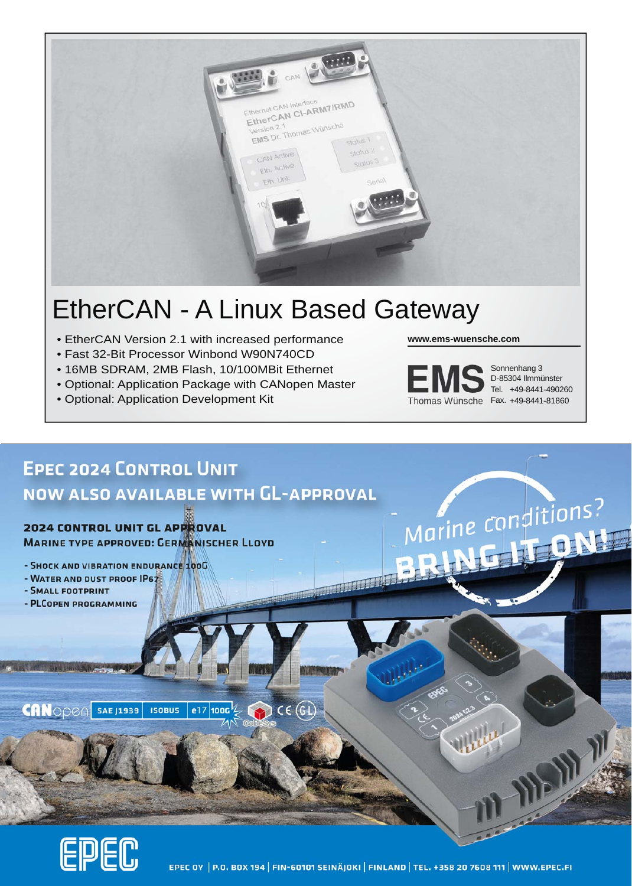

# EtherCAN - A Linux Based Gateway

- EtherCAN Version 2.1 with increased performance
- Fast 32-Bit Processor Winbond W90N740CD
- 16MB SDRAM, 2MB Flash, 10/100MBit Ethernet
- Optional: Application Package with CANopen Master
- Optional: Application Development Kit

**www.ems-wuensche.com**



+49-8441-490260 Tel. Sonnenhang 3 D-85304 Ilmmünster



EPEC OY | P.O. BOX 194 | FIN-60101 SEINÄJOKI | FINLAND | TEL. +358 20 7608 111 | WWW.EPEC.FI